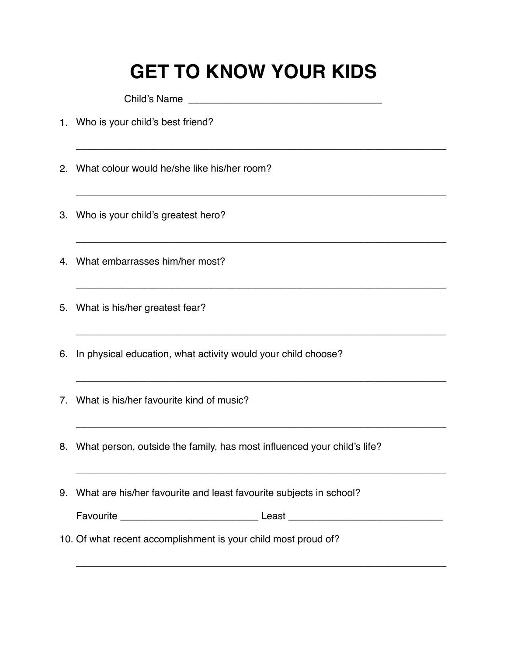## **GET TO KNOW YOUR KIDS**

\_\_\_\_\_\_\_\_\_\_\_\_\_\_\_\_\_\_\_\_\_\_\_\_\_\_\_\_\_\_\_\_\_\_\_\_\_\_\_\_\_\_\_\_\_\_\_\_\_\_\_\_\_\_\_\_\_\_\_\_\_\_\_\_\_\_\_

\_\_\_\_\_\_\_\_\_\_\_\_\_\_\_\_\_\_\_\_\_\_\_\_\_\_\_\_\_\_\_\_\_\_\_\_\_\_\_\_\_\_\_\_\_\_\_\_\_\_\_\_\_\_\_\_\_\_\_\_\_\_\_\_\_\_\_

\_\_\_\_\_\_\_\_\_\_\_\_\_\_\_\_\_\_\_\_\_\_\_\_\_\_\_\_\_\_\_\_\_\_\_\_\_\_\_\_\_\_\_\_\_\_\_\_\_\_\_\_\_\_\_\_\_\_\_\_\_\_\_\_\_\_\_

\_\_\_\_\_\_\_\_\_\_\_\_\_\_\_\_\_\_\_\_\_\_\_\_\_\_\_\_\_\_\_\_\_\_\_\_\_\_\_\_\_\_\_\_\_\_\_\_\_\_\_\_\_\_\_\_\_\_\_\_\_\_\_\_\_\_\_

\_\_\_\_\_\_\_\_\_\_\_\_\_\_\_\_\_\_\_\_\_\_\_\_\_\_\_\_\_\_\_\_\_\_\_\_\_\_\_\_\_\_\_\_\_\_\_\_\_\_\_\_\_\_\_\_\_\_\_\_\_\_\_\_\_\_\_

\_\_\_\_\_\_\_\_\_\_\_\_\_\_\_\_\_\_\_\_\_\_\_\_\_\_\_\_\_\_\_\_\_\_\_\_\_\_\_\_\_\_\_\_\_\_\_\_\_\_\_\_\_\_\_\_\_\_\_\_\_\_\_\_\_\_\_

Child's Name

- 1. Who is your child's best friend?
- 2. What colour would he/she like his/her room?
- 3. Who is your child's greatest hero?
- 4. What embarrasses him/her most?
- 5. What is his/her greatest fear?
- 6. In physical education, what activity would your child choose?

\_\_\_\_\_\_\_\_\_\_\_\_\_\_\_\_\_\_\_\_\_\_\_\_\_\_\_\_\_\_\_\_\_\_\_\_\_\_\_\_\_\_\_\_\_\_\_\_\_\_\_\_\_\_\_\_\_\_\_\_\_\_\_\_\_\_\_

- 7. What is his/her favourite kind of music?
- 8. What person, outside the family, has most influenced your child's life?
- 9. What are his/her favourite and least favourite subjects in school?

| Favourite |  |
|-----------|--|
|-----------|--|

10. Of what recent accomplishment is your child most proud of?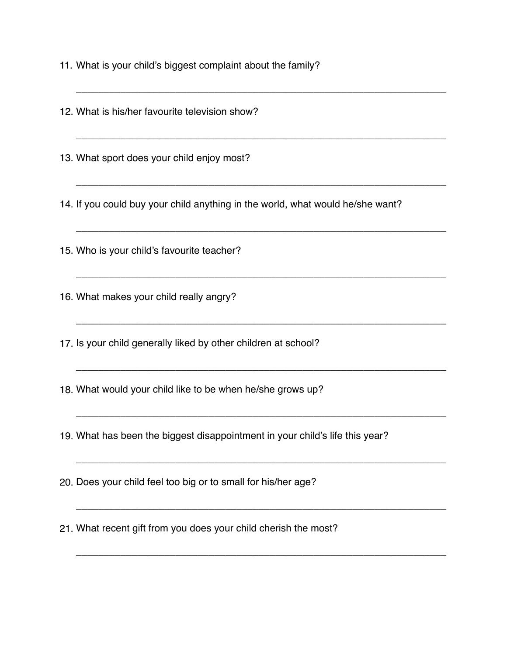11. What is your child's biggest complaint about the family?

12. What is his/her favourite television show?

13. What sport does your child enjoy most?

14. If you could buy your child anything in the world, what would he/she want?

\_\_\_\_\_\_\_\_\_\_\_\_\_\_\_\_\_\_\_\_\_\_\_\_\_\_\_\_\_\_\_\_\_\_\_\_\_\_\_\_\_\_\_\_\_\_\_\_\_\_\_\_\_\_\_\_\_\_\_\_\_\_\_\_\_\_\_

\_\_\_\_\_\_\_\_\_\_\_\_\_\_\_\_\_\_\_\_\_\_\_\_\_\_\_\_\_\_\_\_\_\_\_\_\_\_\_\_\_\_\_\_\_\_\_\_\_\_\_\_\_\_\_\_\_\_\_\_\_\_\_\_\_\_\_

 $\_$  , and the set of the set of the set of the set of the set of the set of the set of the set of the set of the set of the set of the set of the set of the set of the set of the set of the set of the set of the set of th

\_\_\_\_\_\_\_\_\_\_\_\_\_\_\_\_\_\_\_\_\_\_\_\_\_\_\_\_\_\_\_\_\_\_\_\_\_\_\_\_\_\_\_\_\_\_\_\_\_\_\_\_\_\_\_\_\_\_\_\_\_\_\_\_\_\_\_

\_\_\_\_\_\_\_\_\_\_\_\_\_\_\_\_\_\_\_\_\_\_\_\_\_\_\_\_\_\_\_\_\_\_\_\_\_\_\_\_\_\_\_\_\_\_\_\_\_\_\_\_\_\_\_\_\_\_\_\_\_\_\_\_\_\_\_

\_\_\_\_\_\_\_\_\_\_\_\_\_\_\_\_\_\_\_\_\_\_\_\_\_\_\_\_\_\_\_\_\_\_\_\_\_\_\_\_\_\_\_\_\_\_\_\_\_\_\_\_\_\_\_\_\_\_\_\_\_\_\_\_\_\_\_

\_\_\_\_\_\_\_\_\_\_\_\_\_\_\_\_\_\_\_\_\_\_\_\_\_\_\_\_\_\_\_\_\_\_\_\_\_\_\_\_\_\_\_\_\_\_\_\_\_\_\_\_\_\_\_\_\_\_\_\_\_\_\_\_\_\_\_

\_\_\_\_\_\_\_\_\_\_\_\_\_\_\_\_\_\_\_\_\_\_\_\_\_\_\_\_\_\_\_\_\_\_\_\_\_\_\_\_\_\_\_\_\_\_\_\_\_\_\_\_\_\_\_\_\_\_\_\_\_\_\_\_\_\_\_

\_\_\_\_\_\_\_\_\_\_\_\_\_\_\_\_\_\_\_\_\_\_\_\_\_\_\_\_\_\_\_\_\_\_\_\_\_\_\_\_\_\_\_\_\_\_\_\_\_\_\_\_\_\_\_\_\_\_\_\_\_\_\_\_\_\_\_

\_\_\_\_\_\_\_\_\_\_\_\_\_\_\_\_\_\_\_\_\_\_\_\_\_\_\_\_\_\_\_\_\_\_\_\_\_\_\_\_\_\_\_\_\_\_\_\_\_\_\_\_\_\_\_\_\_\_\_\_\_\_\_\_\_\_\_

15. Who is your child's favourite teacher?

16. What makes your child really angry?

17. Is your child generally liked by other children at school?

18. What would your child like to be when he/she grows up?

19. What has been the biggest disappointment in your child's life this year?

20. Does your child feel too big or to small for his/her age?

21. What recent gift from you does your child cherish the most?